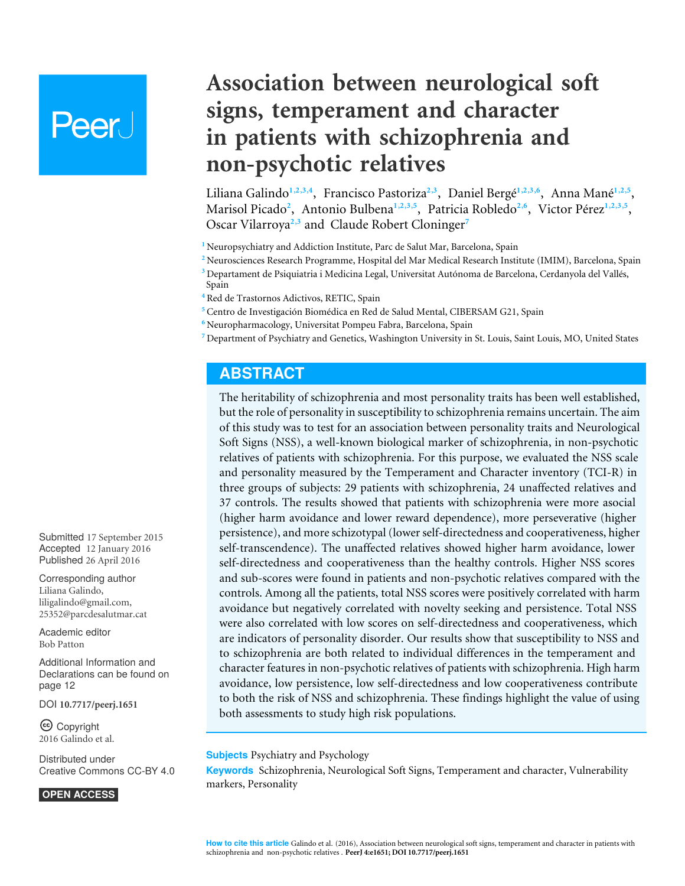# **Peer**

# **Association between neurological soft signs, temperament and character in patients with schizophrenia and non-psychotic relatives**

<span id="page-0-15"></span><span id="page-0-14"></span><span id="page-0-13"></span><span id="page-0-12"></span><span id="page-0-11"></span><span id="page-0-10"></span><span id="page-0-9"></span><span id="page-0-8"></span><span id="page-0-7"></span>Liliana Galindo**[1](#page-0-0)**,**[2](#page-0-1)**,**[3](#page-0-2)**,**[4](#page-0-3)** , Francisco Pastoriza**[2](#page-0-1)**,**[3](#page-0-2)** , Daniel Bergé**[1](#page-0-0)**,**[2](#page-0-1)**,**[3](#page-0-2)**,**[6](#page-0-4)** , Anna Mané**[1](#page-0-0)**,**[2](#page-0-1)**,**[5](#page-0-5)** , Marisol Picado**[2](#page-0-1)** , Antonio Bulbena**[1](#page-0-0)**,**[2](#page-0-1)**,**[3](#page-0-2)**,**[5](#page-0-5)** , Patricia Robledo**[2](#page-0-1)**,**[6](#page-0-4)** , Victor Pérez**[1](#page-0-0)**,**[2](#page-0-1)**,**[3](#page-0-2)**,**[5](#page-0-5)** , Oscar Vilarroya**[2](#page-0-1)**,**[3](#page-0-2)** and Claude Robert Cloninger**[7](#page-0-6)**

- <span id="page-0-16"></span><span id="page-0-0"></span><sup>1</sup> Neuropsychiatry and Addiction Institute, Parc de Salut Mar, Barcelona, Spain
- <span id="page-0-1"></span>**<sup>2</sup>** Neurosciences Research Programme, Hospital del Mar Medical Research Institute (IMIM), Barcelona, Spain
- <span id="page-0-2"></span>**<sup>3</sup>** Departament de Psiquiatria i Medicina Legal, Universitat Autónoma de Barcelona, Cerdanyola del Vallés, Spain
- <span id="page-0-3"></span>**<sup>4</sup>** Red de Trastornos Adictivos, RETIC, Spain
- <span id="page-0-5"></span>**<sup>5</sup>** Centro de Investigación Biomédica en Red de Salud Mental, CIBERSAM G21, Spain
- <span id="page-0-4"></span>**<sup>6</sup>** Neuropharmacology, Universitat Pompeu Fabra, Barcelona, Spain
- <span id="page-0-6"></span>**<sup>7</sup>** Department of Psychiatry and Genetics, Washington University in St. Louis, Saint Louis, MO, United States

# **ABSTRACT**

The heritability of schizophrenia and most personality traits has been well established, but the role of personality in susceptibility to schizophrenia remains uncertain. The aim of this study was to test for an association between personality traits and Neurological Soft Signs (NSS), a well-known biological marker of schizophrenia, in non-psychotic relatives of patients with schizophrenia. For this purpose, we evaluated the NSS scale and personality measured by the Temperament and Character inventory (TCI-R) in three groups of subjects: 29 patients with schizophrenia, 24 unaffected relatives and 37 controls. The results showed that patients with schizophrenia were more asocial (higher harm avoidance and lower reward dependence), more perseverative (higher persistence), and more schizotypal (lower self-directedness and cooperativeness, higher self-transcendence). The unaffected relatives showed higher harm avoidance, lower self-directedness and cooperativeness than the healthy controls. Higher NSS scores and sub-scores were found in patients and non-psychotic relatives compared with the controls. Among all the patients, total NSS scores were positively correlated with harm avoidance but negatively correlated with novelty seeking and persistence. Total NSS were also correlated with low scores on self-directedness and cooperativeness, which are indicators of personality disorder. Our results show that susceptibility to NSS and to schizophrenia are both related to individual differences in the temperament and character features in non-psychotic relatives of patients with schizophrenia. High harm avoidance, low persistence, low self-directedness and low cooperativeness contribute to both the risk of NSS and schizophrenia. These findings highlight the value of using both assessments to study high risk populations.

#### **Subjects** Psychiatry and Psychology

**Keywords** Schizophrenia, Neurological Soft Signs, Temperament and character, Vulnerability markers, Personality

Submitted 17 September 2015 Accepted 12 January 2016 Published 26 April 2016

Corresponding author Liliana Galindo, [liligalindo@gmail.com,](mailto:\unskip \penalty -\@M liligalindo@gmail.com) [25352@parcdesalutmar.cat](mailto:25352@parcdesalutmar.cat)

[Academic editor](https://peerj.com/academic-boards/editors/) [Bob Patton](https://peerj.com/academic-boards/editors/)

[Additional Information and](#page-11-0) [Declarations can be found on](#page-11-0) [page 12](#page-11-0)

DOI **[10.7717/peerj.1651](http://dx.doi.org/10.7717/peerj.1651)**

Copyright 2016 Galindo et al.

[Distributed under](http://creativecommons.org/licenses/by/4.0/) [Creative Commons CC-BY 4.0](http://creativecommons.org/licenses/by/4.0/)

**OPEN ACCESS**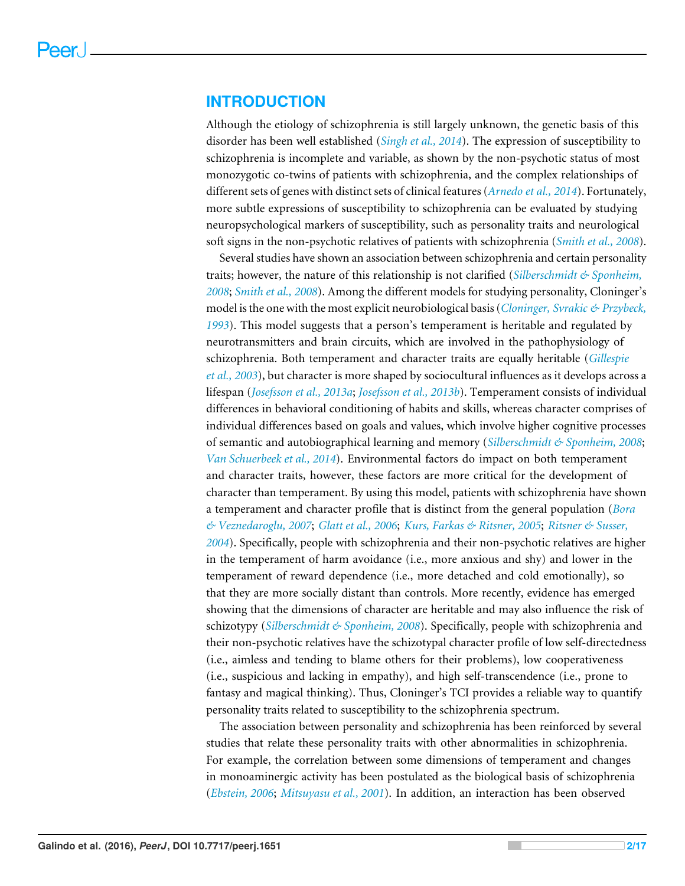### **INTRODUCTION**

Although the etiology of schizophrenia is still largely unknown, the genetic basis of this disorder has been well established (*[Singh et al., 2014](#page-16-0)*). The expression of susceptibility to schizophrenia is incomplete and variable, as shown by the non-psychotic status of most monozygotic co-twins of patients with schizophrenia, and the complex relationships of different sets of genes with distinct sets of clinical features (*[Arnedo et al., 2014](#page-12-0)*). Fortunately, more subtle expressions of susceptibility to schizophrenia can be evaluated by studying neuropsychological markers of susceptibility, such as personality traits and neurological soft signs in the non-psychotic relatives of patients with schizophrenia (*[Smith et al., 2008](#page-16-1)*).

Several studies have shown an association between schizophrenia and certain personality traits; however, the nature of this relationship is not clarified (*[Silberschmidt & Sponheim,](#page-16-2) [2008](#page-16-2)*; *[Smith et al., 2008](#page-16-1)*). Among the different models for studying personality, Cloninger's model is the one with the most explicit neurobiological basis (*[Cloninger, Svrakic & Przybeck,](#page-13-0) [1993](#page-13-0)*). This model suggests that a person's temperament is heritable and regulated by neurotransmitters and brain circuits, which are involved in the pathophysiology of schizophrenia. Both temperament and character traits are equally heritable (*[Gillespie](#page-14-0) [et al., 2003](#page-14-0)*), but character is more shaped by sociocultural influences as it develops across a lifespan (*[Josefsson et al., 2013a](#page-14-1)*; *[Josefsson et al., 2013b](#page-14-2)*). Temperament consists of individual differences in behavioral conditioning of habits and skills, whereas character comprises of individual differences based on goals and values, which involve higher cognitive processes of semantic and autobiographical learning and memory (*[Silberschmidt & Sponheim, 2008](#page-16-2)*; *[Van Schuerbeek et al., 2014](#page-16-3)*). Environmental factors do impact on both temperament and character traits, however, these factors are more critical for the development of character than temperament. By using this model, patients with schizophrenia have shown a temperament and character profile that is distinct from the general population (*[Bora](#page-13-1) [& Veznedaroglu, 2007](#page-13-1)*; *[Glatt et al., 2006](#page-14-3)*; *[Kurs, Farkas & Ritsner, 2005](#page-15-0)*; *[Ritsner & Susser,](#page-16-4) [2004](#page-16-4)*). Specifically, people with schizophrenia and their non-psychotic relatives are higher in the temperament of harm avoidance (i.e., more anxious and shy) and lower in the temperament of reward dependence (i.e., more detached and cold emotionally), so that they are more socially distant than controls. More recently, evidence has emerged showing that the dimensions of character are heritable and may also influence the risk of schizotypy (*[Silberschmidt & Sponheim, 2008](#page-16-2)*). Specifically, people with schizophrenia and their non-psychotic relatives have the schizotypal character profile of low self-directedness (i.e., aimless and tending to blame others for their problems), low cooperativeness (i.e., suspicious and lacking in empathy), and high self-transcendence (i.e., prone to fantasy and magical thinking). Thus, Cloninger's TCI provides a reliable way to quantify personality traits related to susceptibility to the schizophrenia spectrum.

The association between personality and schizophrenia has been reinforced by several studies that relate these personality traits with other abnormalities in schizophrenia. For example, the correlation between some dimensions of temperament and changes in monoaminergic activity has been postulated as the biological basis of schizophrenia (*[Ebstein, 2006](#page-14-4)*; *[Mitsuyasu et al., 2001](#page-15-1)*). In addition, an interaction has been observed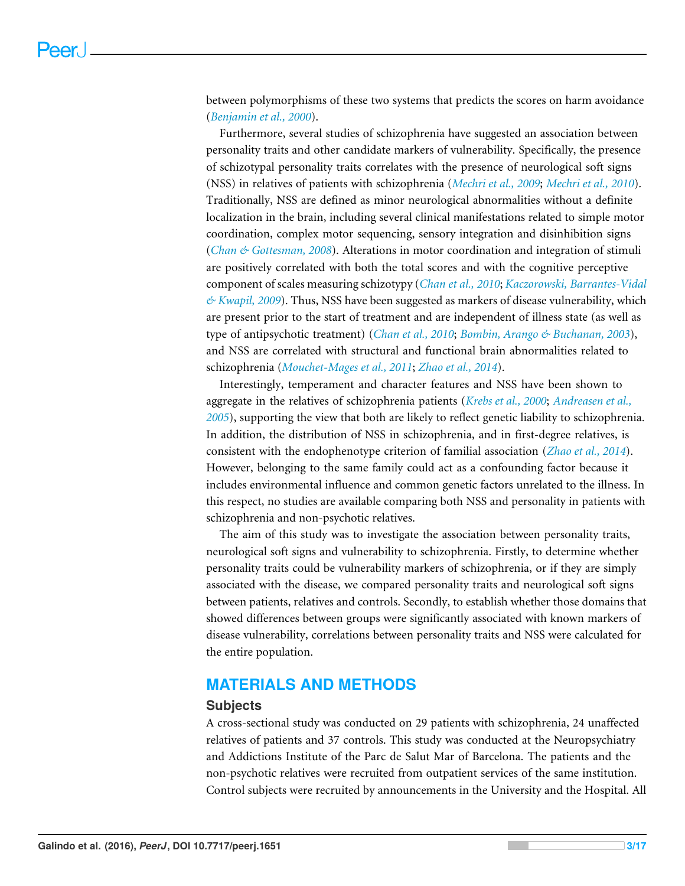between polymorphisms of these two systems that predicts the scores on harm avoidance (*[Benjamin et al., 2000](#page-13-2)*).

Furthermore, several studies of schizophrenia have suggested an association between personality traits and other candidate markers of vulnerability. Specifically, the presence of schizotypal personality traits correlates with the presence of neurological soft signs (NSS) in relatives of patients with schizophrenia (*[Mechri et al., 2009](#page-15-2)*; *[Mechri et al., 2010](#page-15-3)*). Traditionally, NSS are defined as minor neurological abnormalities without a definite localization in the brain, including several clinical manifestations related to simple motor coordination, complex motor sequencing, sensory integration and disinhibition signs (*[Chan & Gottesman, 2008](#page-13-3)*). Alterations in motor coordination and integration of stimuli are positively correlated with both the total scores and with the cognitive perceptive component of scales measuring schizotypy (*[Chan et al., 2010](#page-13-4)*; *[Kaczorowski, Barrantes-Vidal](#page-15-4) [& Kwapil, 2009](#page-15-4)*). Thus, NSS have been suggested as markers of disease vulnerability, which are present prior to the start of treatment and are independent of illness state (as well as type of antipsychotic treatment) (*[Chan et al., 2010](#page-13-4)*; *[Bombin, Arango & Buchanan, 2003](#page-13-5)*), and NSS are correlated with structural and functional brain abnormalities related to schizophrenia (*[Mouchet-Mages et al., 2011](#page-15-5)*; *[Zhao et al., 2014](#page-16-5)*).

Interestingly, temperament and character features and NSS have been shown to aggregate in the relatives of schizophrenia patients (*[Krebs et al., 2000](#page-15-6)*; *[Andreasen et al.,](#page-12-1) [2005](#page-12-1)*), supporting the view that both are likely to reflect genetic liability to schizophrenia. In addition, the distribution of NSS in schizophrenia, and in first-degree relatives, is consistent with the endophenotype criterion of familial association (*[Zhao et al., 2014](#page-16-5)*). However, belonging to the same family could act as a confounding factor because it includes environmental influence and common genetic factors unrelated to the illness. In this respect, no studies are available comparing both NSS and personality in patients with schizophrenia and non-psychotic relatives.

The aim of this study was to investigate the association between personality traits, neurological soft signs and vulnerability to schizophrenia. Firstly, to determine whether personality traits could be vulnerability markers of schizophrenia, or if they are simply associated with the disease, we compared personality traits and neurological soft signs between patients, relatives and controls. Secondly, to establish whether those domains that showed differences between groups were significantly associated with known markers of disease vulnerability, correlations between personality traits and NSS were calculated for the entire population.

# **MATERIALS AND METHODS**

#### **Subjects**

A cross-sectional study was conducted on 29 patients with schizophrenia, 24 unaffected relatives of patients and 37 controls. This study was conducted at the Neuropsychiatry and Addictions Institute of the Parc de Salut Mar of Barcelona. The patients and the non-psychotic relatives were recruited from outpatient services of the same institution. Control subjects were recruited by announcements in the University and the Hospital. All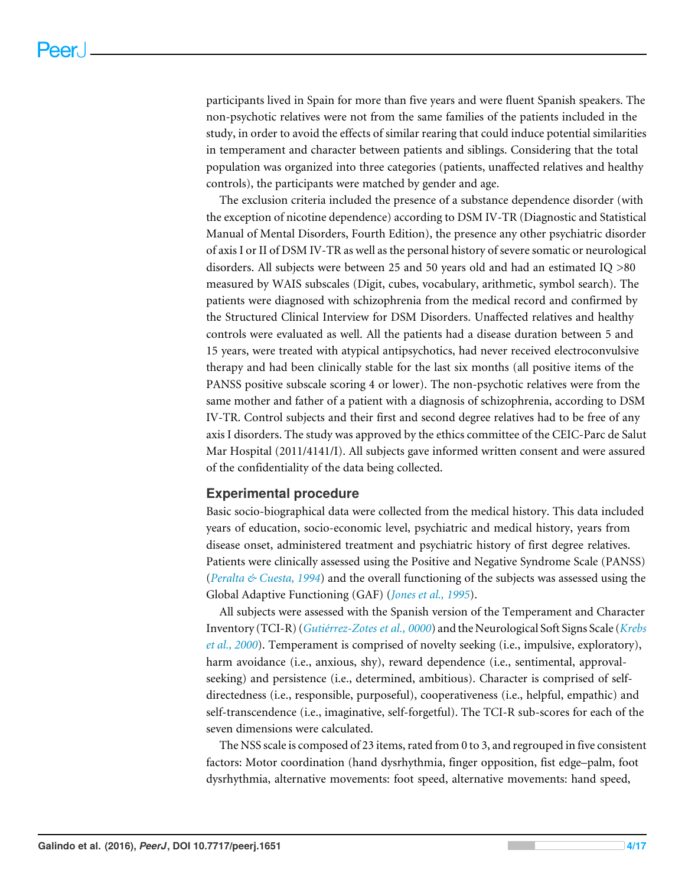participants lived in Spain for more than five years and were fluent Spanish speakers. The non-psychotic relatives were not from the same families of the patients included in the study, in order to avoid the effects of similar rearing that could induce potential similarities in temperament and character between patients and siblings. Considering that the total population was organized into three categories (patients, unaffected relatives and healthy controls), the participants were matched by gender and age.

The exclusion criteria included the presence of a substance dependence disorder (with the exception of nicotine dependence) according to DSM IV-TR (Diagnostic and Statistical Manual of Mental Disorders, Fourth Edition), the presence any other psychiatric disorder of axis I or II of DSM IV-TR as well as the personal history of severe somatic or neurological disorders. All subjects were between 25 and 50 years old and had an estimated IQ >80 measured by WAIS subscales (Digit, cubes, vocabulary, arithmetic, symbol search). The patients were diagnosed with schizophrenia from the medical record and confirmed by the Structured Clinical Interview for DSM Disorders. Unaffected relatives and healthy controls were evaluated as well. All the patients had a disease duration between 5 and 15 years, were treated with atypical antipsychotics, had never received electroconvulsive therapy and had been clinically stable for the last six months (all positive items of the PANSS positive subscale scoring 4 or lower). The non-psychotic relatives were from the same mother and father of a patient with a diagnosis of schizophrenia, according to DSM IV-TR. Control subjects and their first and second degree relatives had to be free of any axis I disorders. The study was approved by the ethics committee of the CEIC-Parc de Salut Mar Hospital (2011/4141/I). All subjects gave informed written consent and were assured of the confidentiality of the data being collected.

#### **Experimental procedure**

Basic socio-biographical data were collected from the medical history. This data included years of education, socio-economic level, psychiatric and medical history, years from disease onset, administered treatment and psychiatric history of first degree relatives. Patients were clinically assessed using the Positive and Negative Syndrome Scale (PANSS) (*[Peralta & Cuesta, 1994](#page-15-7)*) and the overall functioning of the subjects was assessed using the Global Adaptive Functioning (GAF) (*[Jones et al., 1995](#page-14-5)*).

All subjects were assessed with the Spanish version of the Temperament and Character Inventory (TCI-R) (*[Gutiérrez-Zotes et al., 0000](#page-14-6)*) and the Neurological Soft Signs Scale (*[Krebs](#page-15-6) [et al., 2000](#page-15-6)*). Temperament is comprised of novelty seeking (i.e., impulsive, exploratory), harm avoidance (i.e., anxious, shy), reward dependence (i.e., sentimental, approvalseeking) and persistence (i.e., determined, ambitious). Character is comprised of selfdirectedness (i.e., responsible, purposeful), cooperativeness (i.e., helpful, empathic) and self-transcendence (i.e., imaginative, self-forgetful). The TCI-R sub-scores for each of the seven dimensions were calculated.

The NSS scale is composed of 23 items, rated from 0 to 3, and regrouped in five consistent factors: Motor coordination (hand dysrhythmia, finger opposition, fist edge–palm, foot dysrhythmia, alternative movements: foot speed, alternative movements: hand speed,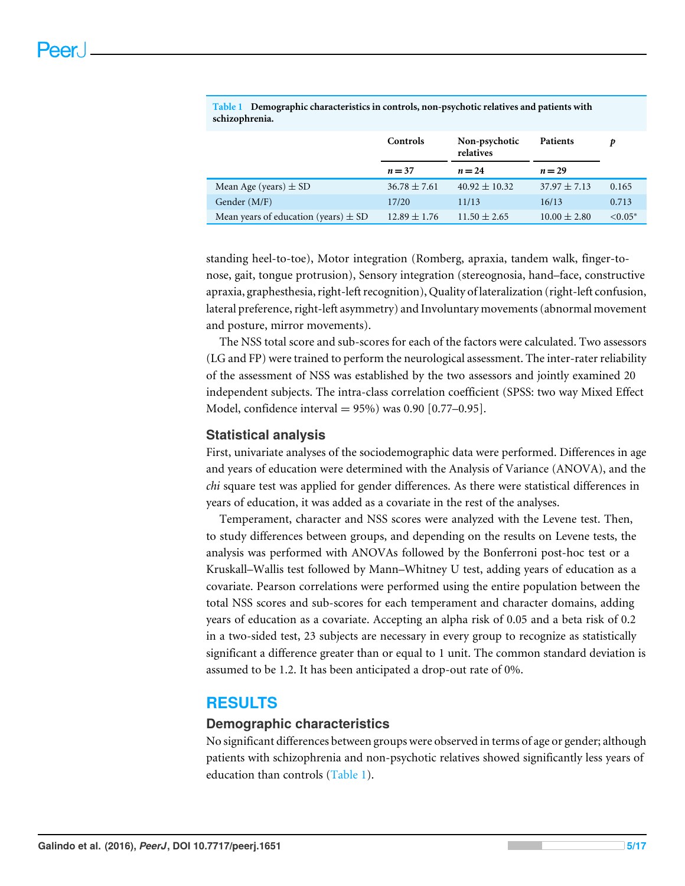|                                          | <b>Controls</b>  | Non-psychotic<br>relatives | <b>Patients</b>  | D             |
|------------------------------------------|------------------|----------------------------|------------------|---------------|
|                                          | $n = 37$         | $n = 24$                   | $n=29$           |               |
| Mean Age (years) $\pm$ SD                | $36.78 \pm 7.61$ | $40.92 \pm 10.32$          | $37.97 \pm 7.13$ | 0.165         |
| Gender (M/F)                             | 17/20            | 11/13                      | 16/13            | 0.713         |
| Mean years of education (years) $\pm$ SD | $12.89 \pm 1.76$ | $11.50 \pm 2.65$           | $10.00 \pm 2.80$ | $\leq 0.05^*$ |

<span id="page-4-0"></span>**Table 1 Demographic characteristics in controls, non-psychotic relatives and patients with schizophrenia.**

standing heel-to-toe), Motor integration (Romberg, apraxia, tandem walk, finger-tonose, gait, tongue protrusion), Sensory integration (stereognosia, hand–face, constructive apraxia, graphesthesia, right-left recognition), Quality of lateralization (right-left confusion, lateral preference, right-left asymmetry) and Involuntary movements (abnormal movement and posture, mirror movements).

The NSS total score and sub-scores for each of the factors were calculated. Two assessors (LG and FP) were trained to perform the neurological assessment. The inter-rater reliability of the assessment of NSS was established by the two assessors and jointly examined 20 independent subjects. The intra-class correlation coefficient (SPSS: two way Mixed Effect Model, confidence interval =  $95\%$ ) was 0.90 [0.77–0.95].

#### **Statistical analysis**

First, univariate analyses of the sociodemographic data were performed. Differences in age and years of education were determined with the Analysis of Variance (ANOVA), and the *chi* square test was applied for gender differences. As there were statistical differences in years of education, it was added as a covariate in the rest of the analyses.

Temperament, character and NSS scores were analyzed with the Levene test. Then, to study differences between groups, and depending on the results on Levene tests, the analysis was performed with ANOVAs followed by the Bonferroni post-hoc test or a Kruskall–Wallis test followed by Mann–Whitney U test, adding years of education as a covariate. Pearson correlations were performed using the entire population between the total NSS scores and sub-scores for each temperament and character domains, adding years of education as a covariate. Accepting an alpha risk of 0.05 and a beta risk of 0.2 in a two-sided test, 23 subjects are necessary in every group to recognize as statistically significant a difference greater than or equal to 1 unit. The common standard deviation is assumed to be 1.2. It has been anticipated a drop-out rate of 0%.

# **RESULTS**

#### **Demographic characteristics**

No significant differences between groups were observed in terms of age or gender; although patients with schizophrenia and non-psychotic relatives showed significantly less years of education than controls [\(Table 1\)](#page-4-0).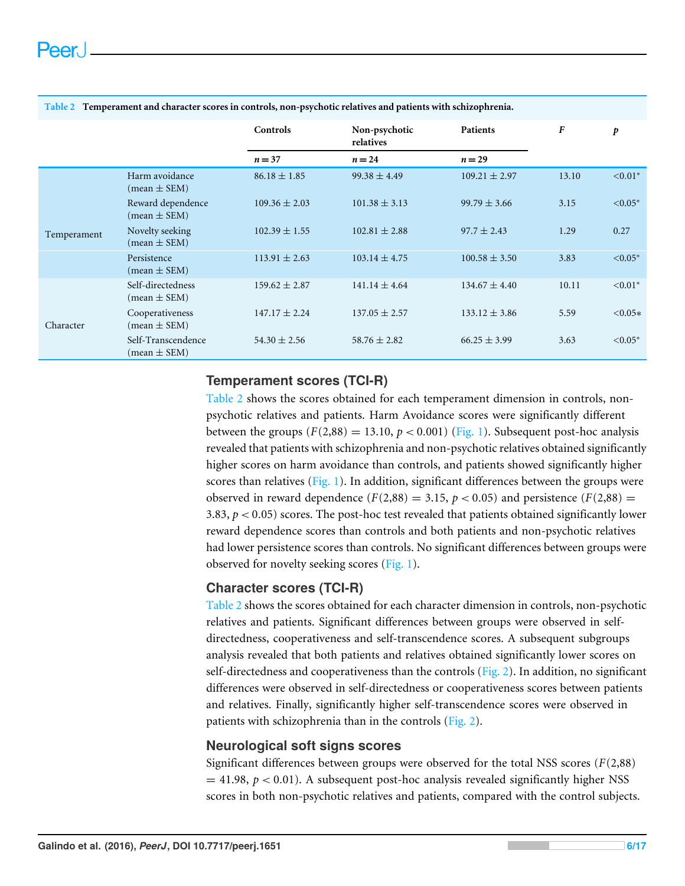|             |                                                      | Controls          | Non-psychotic<br>relatives | <b>Patients</b>   | $\boldsymbol{F}$ | p         |
|-------------|------------------------------------------------------|-------------------|----------------------------|-------------------|------------------|-----------|
|             |                                                      | $n = 37$          | $n=24$                     | $n = 29$          |                  |           |
|             | Harm avoidance<br>$(mean \pm SEM)$                   | $86.18 \pm 1.85$  | $99.38 \pm 4.49$           | $109.21 \pm 2.97$ | 13.10            | $< 0.01*$ |
|             | Reward dependence<br>$(\text{mean} \pm \text{SEM})$  | $109.36 \pm 2.03$ | $101.38 \pm 3.13$          | $99.79 \pm 3.66$  | 3.15             | $< 0.05*$ |
| Temperament | Novelty seeking<br>$(mean \pm SEM)$                  | $102.39 \pm 1.55$ | $102.81 \pm 2.88$          | $97.7 \pm 2.43$   | 1.29             | 0.27      |
|             | Persistence<br>$(\text{mean} \pm \text{SEM})$        | $113.91 \pm 2.63$ | $103.14 \pm 4.75$          | $100.58 \pm 3.50$ | 3.83             | $< 0.05*$ |
|             | Self-directedness<br>$(\text{mean} \pm \text{SEM})$  | $159.62 \pm 2.87$ | $141.14 \pm 4.64$          | $134.67 \pm 4.40$ | 10.11            | $< 0.01*$ |
| Character   | Cooperativeness<br>$mean \pm SEM$ )                  | $147.17 \pm 2.24$ | $137.05 \pm 2.57$          | $133.12 \pm 3.86$ | 5.59             | $< 0.05*$ |
|             | Self-Transcendence<br>$(\text{mean} \pm \text{SEM})$ | $54.30 \pm 2.56$  | $58.76 \pm 2.82$           | $66.25 \pm 3.99$  | 3.63             | $< 0.05*$ |

#### <span id="page-5-0"></span>**Table 2 Temperament and character scores in controls, non-psychotic relatives and patients with schizophrenia.**

#### **Temperament scores (TCI-R)**

[Table 2](#page-5-0) shows the scores obtained for each temperament dimension in controls, nonpsychotic relatives and patients. Harm Avoidance scores were significantly different between the groups  $(F(2,88) = 13.10, p < 0.001)$  [\(Fig. 1\)](#page-6-0). Subsequent post-hoc analysis revealed that patients with schizophrenia and non-psychotic relatives obtained significantly higher scores on harm avoidance than controls, and patients showed significantly higher scores than relatives [\(Fig. 1\)](#page-6-0). In addition, significant differences between the groups were observed in reward dependence  $(F(2,88) = 3.15, p < 0.05)$  and persistence  $(F(2,88) =$ 3.83, *p* < 0.05) scores. The post-hoc test revealed that patients obtained significantly lower reward dependence scores than controls and both patients and non-psychotic relatives had lower persistence scores than controls. No significant differences between groups were observed for novelty seeking scores [\(Fig. 1\)](#page-6-0).

#### **Character scores (TCI-R)**

[Table 2](#page-5-0) shows the scores obtained for each character dimension in controls, non-psychotic relatives and patients. Significant differences between groups were observed in selfdirectedness, cooperativeness and self-transcendence scores. A subsequent subgroups analysis revealed that both patients and relatives obtained significantly lower scores on self-directedness and cooperativeness than the controls ( $Fig. 2$ ). In addition, no significant differences were observed in self-directedness or cooperativeness scores between patients and relatives. Finally, significantly higher self-transcendence scores were observed in patients with schizophrenia than in the controls [\(Fig. 2\)](#page-7-0).

#### **Neurological soft signs scores**

Significant differences between groups were observed for the total NSS scores (*F*(2,88)  $=$  41.98,  $p < 0.01$ ). A subsequent post-hoc analysis revealed significantly higher NSS scores in both non-psychotic relatives and patients, compared with the control subjects.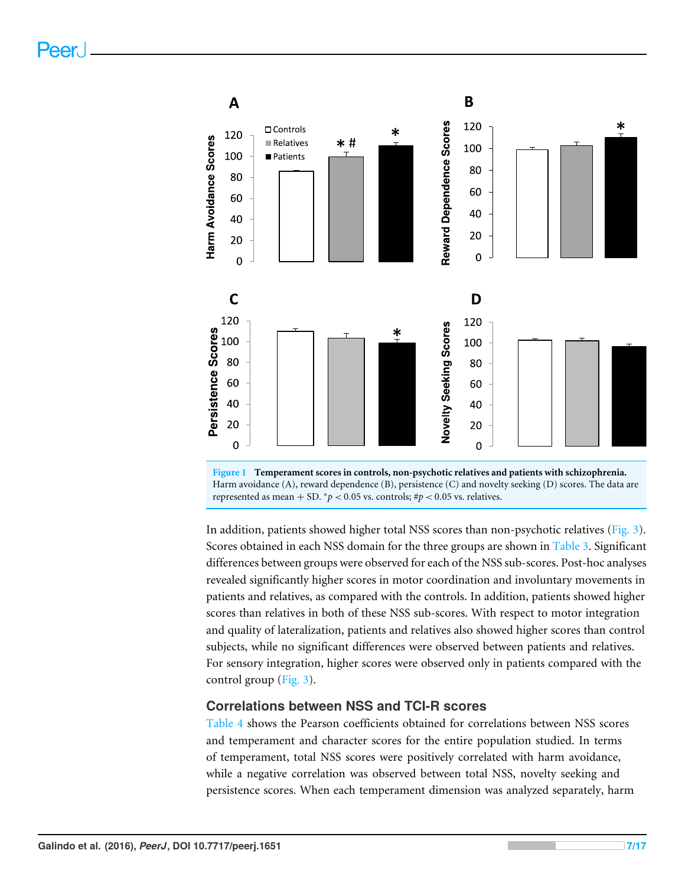<span id="page-6-0"></span>



In addition, patients showed higher total NSS scores than non-psychotic relatives [\(Fig. 3\)](#page-8-0). Scores obtained in each NSS domain for the three groups are shown in [Table 3.](#page-7-1) Significant differences between groups were observed for each of the NSS sub-scores. Post-hoc analyses revealed significantly higher scores in motor coordination and involuntary movements in patients and relatives, as compared with the controls. In addition, patients showed higher scores than relatives in both of these NSS sub-scores. With respect to motor integration and quality of lateralization, patients and relatives also showed higher scores than control subjects, while no significant differences were observed between patients and relatives. For sensory integration, higher scores were observed only in patients compared with the control group [\(Fig. 3\)](#page-8-0).

#### **Correlations between NSS and TCI-R scores**

[Table 4](#page-8-1) shows the Pearson coefficients obtained for correlations between NSS scores and temperament and character scores for the entire population studied. In terms of temperament, total NSS scores were positively correlated with harm avoidance, while a negative correlation was observed between total NSS, novelty seeking and persistence scores. When each temperament dimension was analyzed separately, harm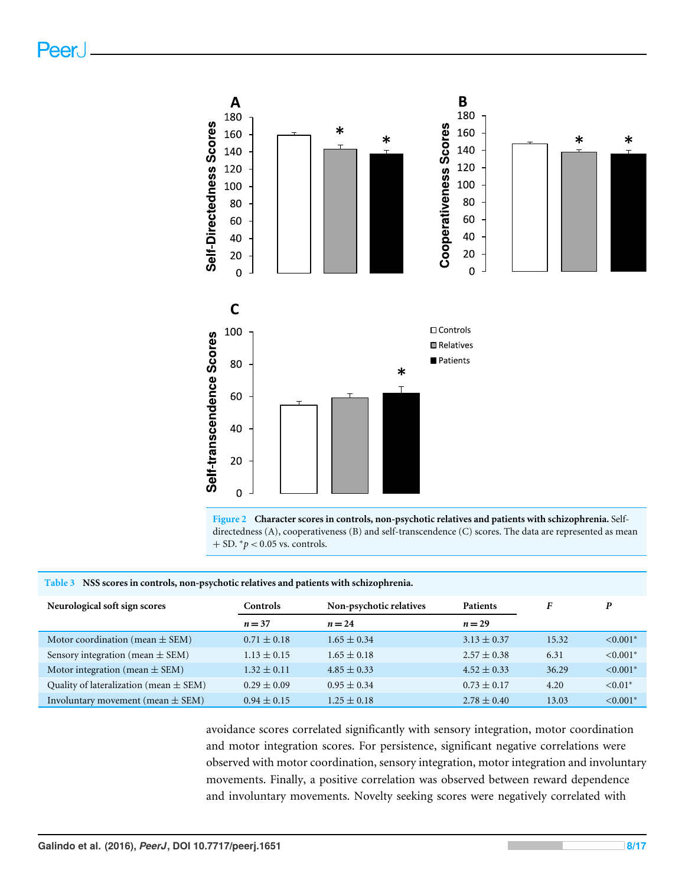Peer.

<span id="page-7-0"></span>

**Figure 2 Character scores in controls, non-psychotic relatives and patients with schizophrenia.** Selfdirectedness (A), cooperativeness (B) and self-transcendence (C) scores. The data are represented as mean + SD. <sup>∗</sup>*p* < 0.05 vs. controls.

#### <span id="page-7-1"></span>**Table 3 NSS scores in controls, non-psychotic relatives and patients with schizophrenia.**

| Neurological soft sign scores              | Controls        | Non-psychotic relatives | <b>Patients</b> |       | P             |
|--------------------------------------------|-----------------|-------------------------|-----------------|-------|---------------|
|                                            | $n = 37$        | $n = 24$                | $n=29$          |       |               |
| Motor coordination (mean $\pm$ SEM)        | $0.71 \pm 0.18$ | $1.65 \pm 0.34$         | $3.13 \pm 0.37$ | 15.32 | $< 0.001*$    |
| Sensory integration (mean $\pm$ SEM)       | $1.13 \pm 0.15$ | $1.65 \pm 0.18$         | $2.57 \pm 0.38$ | 6.31  | $< 0.001*$    |
| Motor integration (mean $\pm$ SEM)         | $1.32 \pm 0.11$ | $4.85 \pm 0.33$         | $4.52 \pm 0.33$ | 36.29 | $< 0.001*$    |
| Quality of lateralization (mean $\pm$ SEM) | $0.29 \pm 0.09$ | $0.95 \pm 0.34$         | $0.73 \pm 0.17$ | 4.20  | $\leq 0.01$ * |
| Involuntary movement (mean $\pm$ SEM)      | $0.94 \pm 0.15$ | $1.25 \pm 0.18$         | $2.78 \pm 0.40$ | 13.03 | $< 0.001*$    |

avoidance scores correlated significantly with sensory integration, motor coordination and motor integration scores. For persistence, significant negative correlations were observed with motor coordination, sensory integration, motor integration and involuntary movements. Finally, a positive correlation was observed between reward dependence and involuntary movements. Novelty seeking scores were negatively correlated with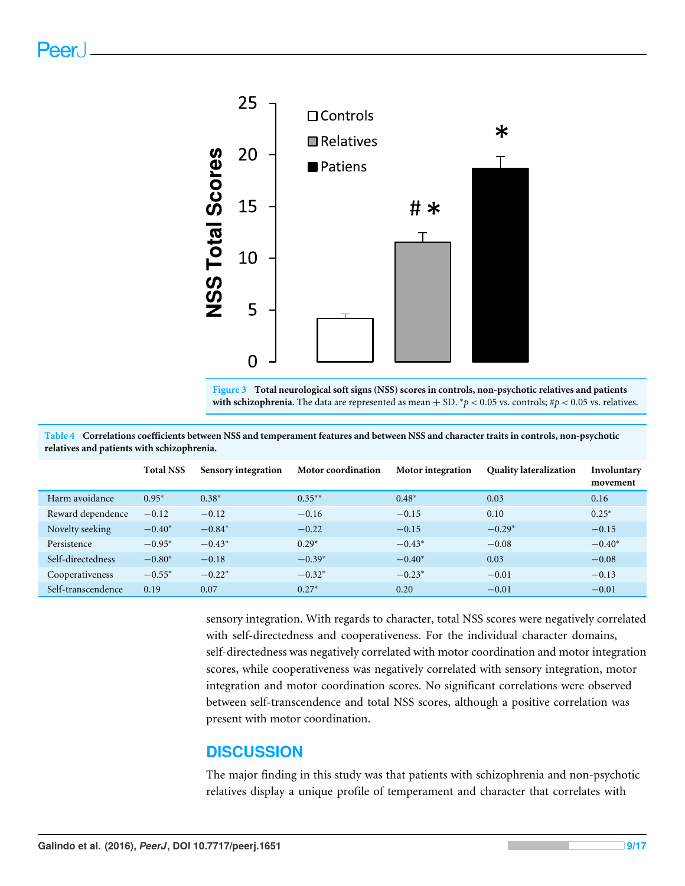<span id="page-8-0"></span>

**Figure 3 Total neurological soft signs (NSS) scores in controls, non-psychotic relatives and patients** with schizophrenia. The data are represented as mean  $+$  SD.  $^*p$  < 0.05 vs. controls;  $\#p$  < 0.05 vs. relatives.

|                    | <b>Total NSS</b> | Sensory integration | <b>Motor coordination</b> | Motor integration | <b>Quality lateralization</b> | Involuntary<br>movement |
|--------------------|------------------|---------------------|---------------------------|-------------------|-------------------------------|-------------------------|
| Harm avoidance     | $0.95*$          | $0.38*$             | $0.35***$                 | $0.48*$           | 0.03                          | 0.16                    |
| Reward dependence  | $-0.12$          | $-0.12$             | $-0.16$                   | $-0.15$           | 0.10                          | $0.25*$                 |
| Novelty seeking    | $-0.40*$         | $-0.84*$            | $-0.22$                   | $-0.15$           | $-0.29*$                      | $-0.15$                 |
| Persistence        | $-0.95*$         | $-0.43*$            | $0.29*$                   | $-0.43*$          | $-0.08$                       | $-0.40*$                |
| Self-directedness  | $-0.80*$         | $-0.18$             | $-0.39*$                  | $-0.40*$          | 0.03                          | $-0.08$                 |
| Cooperativeness    | $-0.55*$         | $-0.22*$            | $-0.32*$                  | $-0.23*$          | $-0.01$                       | $-0.13$                 |
| Self-transcendence | 0.19             | 0.07                | $0.27*$                   | 0.20              | $-0.01$                       | $-0.01$                 |

<span id="page-8-1"></span>**Table 4 Correlations coefficients between NSS and temperament features and between NSS and character traits in controls, non-psychotic relatives and patients with schizophrenia.**

> sensory integration. With regards to character, total NSS scores were negatively correlated with self-directedness and cooperativeness. For the individual character domains, self-directedness was negatively correlated with motor coordination and motor integration scores, while cooperativeness was negatively correlated with sensory integration, motor integration and motor coordination scores. No significant correlations were observed between self-transcendence and total NSS scores, although a positive correlation was present with motor coordination.

# **DISCUSSION**

The major finding in this study was that patients with schizophrenia and non-psychotic relatives display a unique profile of temperament and character that correlates with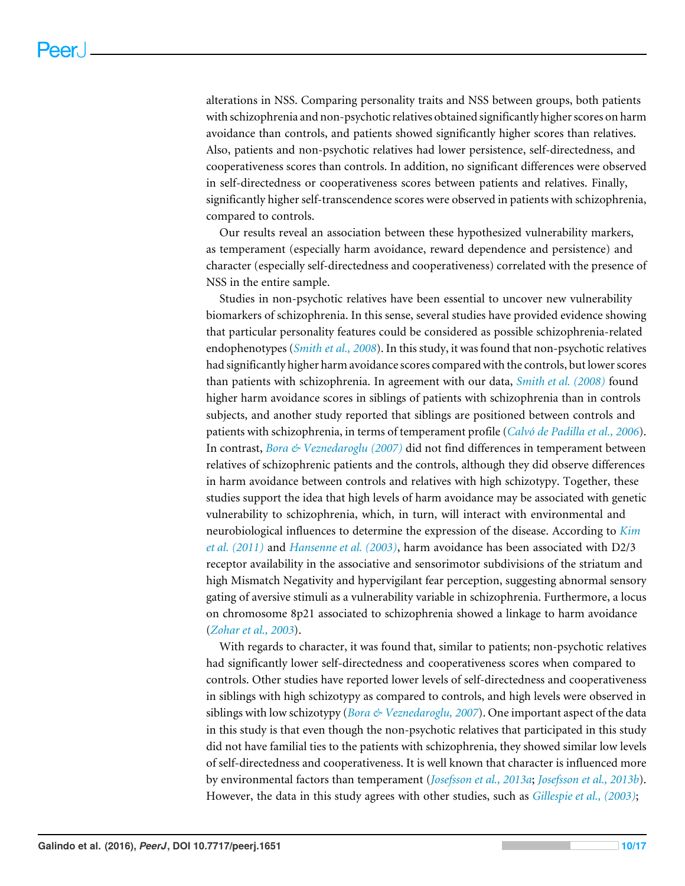alterations in NSS. Comparing personality traits and NSS between groups, both patients with schizophrenia and non-psychotic relatives obtained significantly higher scores on harm avoidance than controls, and patients showed significantly higher scores than relatives. Also, patients and non-psychotic relatives had lower persistence, self-directedness, and cooperativeness scores than controls. In addition, no significant differences were observed in self-directedness or cooperativeness scores between patients and relatives. Finally, significantly higher self-transcendence scores were observed in patients with schizophrenia, compared to controls.

Our results reveal an association between these hypothesized vulnerability markers, as temperament (especially harm avoidance, reward dependence and persistence) and character (especially self-directedness and cooperativeness) correlated with the presence of NSS in the entire sample.

Studies in non-psychotic relatives have been essential to uncover new vulnerability biomarkers of schizophrenia. In this sense, several studies have provided evidence showing that particular personality features could be considered as possible schizophrenia-related endophenotypes (*[Smith et al., 2008](#page-16-1)*). In this study, it was found that non-psychotic relatives had significantly higher harm avoidance scores compared with the controls, but lower scores than patients with schizophrenia. In agreement with our data, *[Smith et al. \(2008\)](#page-16-1)* found higher harm avoidance scores in siblings of patients with schizophrenia than in controls subjects, and another study reported that siblings are positioned between controls and patients with schizophrenia, in terms of temperament profile (*[Calvó de Padilla et al., 2006](#page-13-6)*). In contrast, *[Bora & Veznedaroglu \(2007\)](#page-13-1)* did not find differences in temperament between relatives of schizophrenic patients and the controls, although they did observe differences in harm avoidance between controls and relatives with high schizotypy. Together, these studies support the idea that high levels of harm avoidance may be associated with genetic vulnerability to schizophrenia, which, in turn, will interact with environmental and neurobiological influences to determine the expression of the disease. According to *[Kim](#page-15-8) [et al. \(2011\)](#page-15-8)* and *[Hansenne et al. \(2003\)](#page-14-7)*, harm avoidance has been associated with D2/3 receptor availability in the associative and sensorimotor subdivisions of the striatum and high Mismatch Negativity and hypervigilant fear perception, suggesting abnormal sensory gating of aversive stimuli as a vulnerability variable in schizophrenia. Furthermore, a locus on chromosome 8p21 associated to schizophrenia showed a linkage to harm avoidance (*[Zohar et al., 2003](#page-16-6)*).

With regards to character, it was found that, similar to patients; non-psychotic relatives had significantly lower self-directedness and cooperativeness scores when compared to controls. Other studies have reported lower levels of self-directedness and cooperativeness in siblings with high schizotypy as compared to controls, and high levels were observed in siblings with low schizotypy (*[Bora & Veznedaroglu, 2007](#page-13-1)*). One important aspect of the data in this study is that even though the non-psychotic relatives that participated in this study did not have familial ties to the patients with schizophrenia, they showed similar low levels of self-directedness and cooperativeness. It is well known that character is influenced more by environmental factors than temperament (*[Josefsson et al., 2013a](#page-14-1)*; *[Josefsson et al., 2013b](#page-14-2)*). However, the data in this study agrees with other studies, such as *[Gillespie et al., \(2003\)](#page-14-0)*;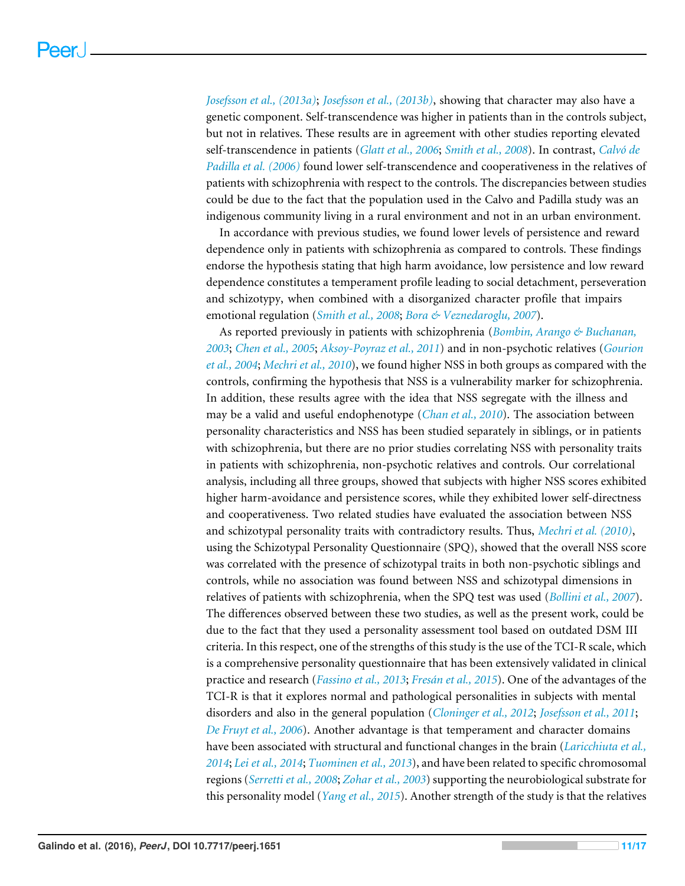*[Josefsson et al., \(2013a\)](#page-14-1)*; *[Josefsson et al., \(2013b\)](#page-14-2)*, showing that character may also have a genetic component. Self-transcendence was higher in patients than in the controls subject, but not in relatives. These results are in agreement with other studies reporting elevated self-transcendence in patients (*[Glatt et al., 2006](#page-14-3)*; *[Smith et al., 2008](#page-16-1)*). In contrast, *[Calvó de](#page-13-6) [Padilla et al. \(2006\)](#page-13-6)* found lower self-transcendence and cooperativeness in the relatives of patients with schizophrenia with respect to the controls. The discrepancies between studies could be due to the fact that the population used in the Calvo and Padilla study was an indigenous community living in a rural environment and not in an urban environment.

In accordance with previous studies, we found lower levels of persistence and reward dependence only in patients with schizophrenia as compared to controls. These findings endorse the hypothesis stating that high harm avoidance, low persistence and low reward dependence constitutes a temperament profile leading to social detachment, perseveration and schizotypy, when combined with a disorganized character profile that impairs emotional regulation (*[Smith et al., 2008](#page-16-1)*; *[Bora & Veznedaroglu, 2007](#page-13-1)*).

As reported previously in patients with schizophrenia (*[Bombin, Arango & Buchanan,](#page-13-5) [2003](#page-13-5)*; *[Chen et al., 2005](#page-13-7)*; *[Aksoy-Poyraz et al., 2011](#page-12-2)*) and in non-psychotic relatives (*[Gourion](#page-14-8) [et al., 2004](#page-14-8)*; *[Mechri et al., 2010](#page-15-3)*), we found higher NSS in both groups as compared with the controls, confirming the hypothesis that NSS is a vulnerability marker for schizophrenia. In addition, these results agree with the idea that NSS segregate with the illness and may be a valid and useful endophenotype (*[Chan et al., 2010](#page-13-4)*). The association between personality characteristics and NSS has been studied separately in siblings, or in patients with schizophrenia, but there are no prior studies correlating NSS with personality traits in patients with schizophrenia, non-psychotic relatives and controls. Our correlational analysis, including all three groups, showed that subjects with higher NSS scores exhibited higher harm-avoidance and persistence scores, while they exhibited lower self-directness and cooperativeness. Two related studies have evaluated the association between NSS and schizotypal personality traits with contradictory results. Thus, *[Mechri et al. \(2010\)](#page-15-3)*, using the Schizotypal Personality Questionnaire (SPQ), showed that the overall NSS score was correlated with the presence of schizotypal traits in both non-psychotic siblings and controls, while no association was found between NSS and schizotypal dimensions in relatives of patients with schizophrenia, when the SPQ test was used (*[Bollini et al., 2007](#page-13-8)*). The differences observed between these two studies, as well as the present work, could be due to the fact that they used a personality assessment tool based on outdated DSM III criteria. In this respect, one of the strengths of this study is the use of the TCI-R scale, which is a comprehensive personality questionnaire that has been extensively validated in clinical practice and research (*[Fassino et al., 2013](#page-14-9)*; *[Fresán et al., 2015](#page-14-10)*). One of the advantages of the TCI-R is that it explores normal and pathological personalities in subjects with mental disorders and also in the general population (*[Cloninger et al., 2012](#page-13-9)*; *[Josefsson et al., 2011](#page-14-11)*; *[De Fruyt et al., 2006](#page-13-10)*). Another advantage is that temperament and character domains have been associated with structural and functional changes in the brain (*[Laricchiuta et al.,](#page-15-9) [2014](#page-15-9)*; *[Lei et al., 2014](#page-15-10)*; *[Tuominen et al., 2013](#page-16-7)*), and have been related to specific chromosomal regions (*[Serretti et al., 2008](#page-16-8)*; *[Zohar et al., 2003](#page-16-6)*) supporting the neurobiological substrate for this personality model (*[Yang et al., 2015](#page-16-9)*). Another strength of the study is that the relatives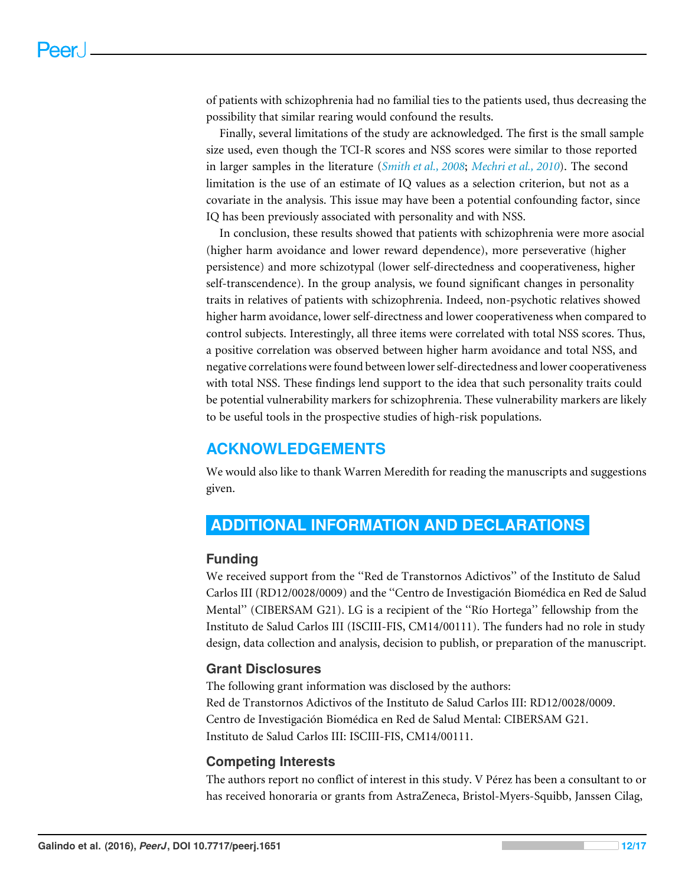of patients with schizophrenia had no familial ties to the patients used, thus decreasing the possibility that similar rearing would confound the results.

Finally, several limitations of the study are acknowledged. The first is the small sample size used, even though the TCI-R scores and NSS scores were similar to those reported in larger samples in the literature (*[Smith et al., 2008](#page-16-1)*; *[Mechri et al., 2010](#page-15-3)*). The second limitation is the use of an estimate of IQ values as a selection criterion, but not as a covariate in the analysis. This issue may have been a potential confounding factor, since IQ has been previously associated with personality and with NSS.

In conclusion, these results showed that patients with schizophrenia were more asocial (higher harm avoidance and lower reward dependence), more perseverative (higher persistence) and more schizotypal (lower self-directedness and cooperativeness, higher self-transcendence). In the group analysis, we found significant changes in personality traits in relatives of patients with schizophrenia. Indeed, non-psychotic relatives showed higher harm avoidance, lower self-directness and lower cooperativeness when compared to control subjects. Interestingly, all three items were correlated with total NSS scores. Thus, a positive correlation was observed between higher harm avoidance and total NSS, and negative correlations were found between lower self-directedness and lower cooperativeness with total NSS. These findings lend support to the idea that such personality traits could be potential vulnerability markers for schizophrenia. These vulnerability markers are likely to be useful tools in the prospective studies of high-risk populations.

# **ACKNOWLEDGEMENTS**

We would also like to thank Warren Meredith for reading the manuscripts and suggestions given.

# <span id="page-11-0"></span>**ADDITIONAL INFORMATION AND DECLARATIONS**

#### **Funding**

We received support from the ''Red de Transtornos Adictivos'' of the Instituto de Salud Carlos III (RD12/0028/0009) and the ''Centro de Investigación Biomédica en Red de Salud Mental'' (CIBERSAM G21). LG is a recipient of the ''Río Hortega'' fellowship from the Instituto de Salud Carlos III (ISCIII-FIS, CM14/00111). The funders had no role in study design, data collection and analysis, decision to publish, or preparation of the manuscript.

# **Grant Disclosures**

The following grant information was disclosed by the authors: Red de Transtornos Adictivos of the Instituto de Salud Carlos III: RD12/0028/0009. Centro de Investigación Biomédica en Red de Salud Mental: CIBERSAM G21. Instituto de Salud Carlos III: ISCIII-FIS, CM14/00111.

#### **Competing Interests**

The authors report no conflict of interest in this study. V Pérez has been a consultant to or has received honoraria or grants from AstraZeneca, Bristol-Myers-Squibb, Janssen Cilag,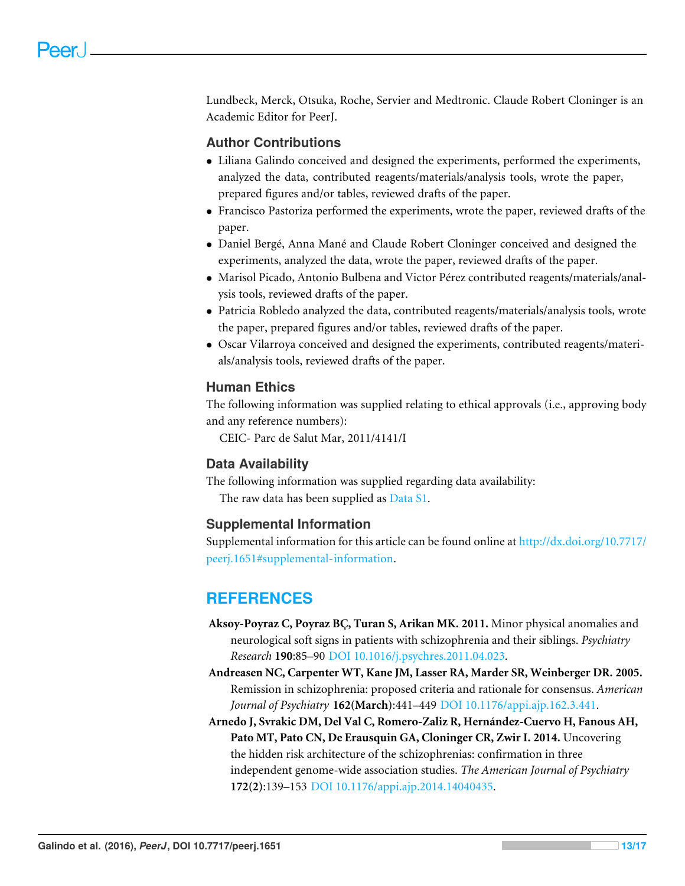Lundbeck, Merck, Otsuka, Roche, Servier and Medtronic. Claude Robert Cloninger is an Academic Editor for PeerJ.

#### **Author Contributions**

- [Liliana Galindo](#page-0-7) conceived and designed the experiments, performed the experiments, analyzed the data, contributed reagents/materials/analysis tools, wrote the paper, prepared figures and/or tables, reviewed drafts of the paper.
- [Francisco Pastoriza](#page-0-8) performed the experiments, wrote the paper, reviewed drafts of the paper.
- [Daniel Bergé,](#page-0-9) [Anna Mané](#page-0-10) and [Claude Robert Cloninger](#page-0-11) conceived and designed the experiments, analyzed the data, wrote the paper, reviewed drafts of the paper.
- [Marisol Picado,](#page-0-12) [Antonio Bulbena](#page-0-13) and [Victor Pérez](#page-0-14) contributed reagents/materials/analysis tools, reviewed drafts of the paper.
- [Patricia Robledo](#page-0-15) analyzed the data, contributed reagents/materials/analysis tools, wrote the paper, prepared figures and/or tables, reviewed drafts of the paper.
- [Oscar Vilarroya](#page-0-16) conceived and designed the experiments, contributed reagents/materials/analysis tools, reviewed drafts of the paper.

#### **Human Ethics**

The following information was supplied relating to ethical approvals (i.e., approving body and any reference numbers):

CEIC- Parc de Salut Mar, 2011/4141/I

#### **Data Availability**

The following information was supplied regarding data availability:

The raw data has been supplied as [Data S1.](http://dx.doi.org/10.7717/peerj.1651/supp-1)

#### **Supplemental Information**

Supplemental information for this article can be found online at [http://dx.doi.org/10.7717/](http://dx.doi.org/10.7717/peerj.1651#supplemental-information) [peerj.1651#supplemental-information.](http://dx.doi.org/10.7717/peerj.1651#supplemental-information)

# **REFERENCES**

- <span id="page-12-2"></span>**Aksoy-Poyraz C, Poyraz BÇ, Turan S, Arikan MK. 2011.** Minor physical anomalies and neurological soft signs in patients with schizophrenia and their siblings. *Psychiatry Research* **190**:85–90 [DOI 10.1016/j.psychres.2011.04.023.](http://dx.doi.org/10.1016/j.psychres.2011.04.023)
- <span id="page-12-1"></span>**Andreasen NC, Carpenter WT, Kane JM, Lasser RA, Marder SR, Weinberger DR. 2005.** Remission in schizophrenia: proposed criteria and rationale for consensus. *American Journal of Psychiatry* **162(March)**:441–449 [DOI 10.1176/appi.ajp.162.3.441.](http://dx.doi.org/10.1176/appi.ajp.162.3.441)
- <span id="page-12-0"></span>**Arnedo J, Svrakic DM, Del Val C, Romero-Zaliz R, Hernández-Cuervo H, Fanous AH, Pato MT, Pato CN, De Erausquin GA, Cloninger CR, Zwir I. 2014.** Uncovering the hidden risk architecture of the schizophrenias: confirmation in three independent genome-wide association studies. *The American Journal of Psychiatry* **172(2)**:139–153 [DOI 10.1176/appi.ajp.2014.14040435.](http://dx.doi.org/10.1176/appi.ajp.2014.14040435)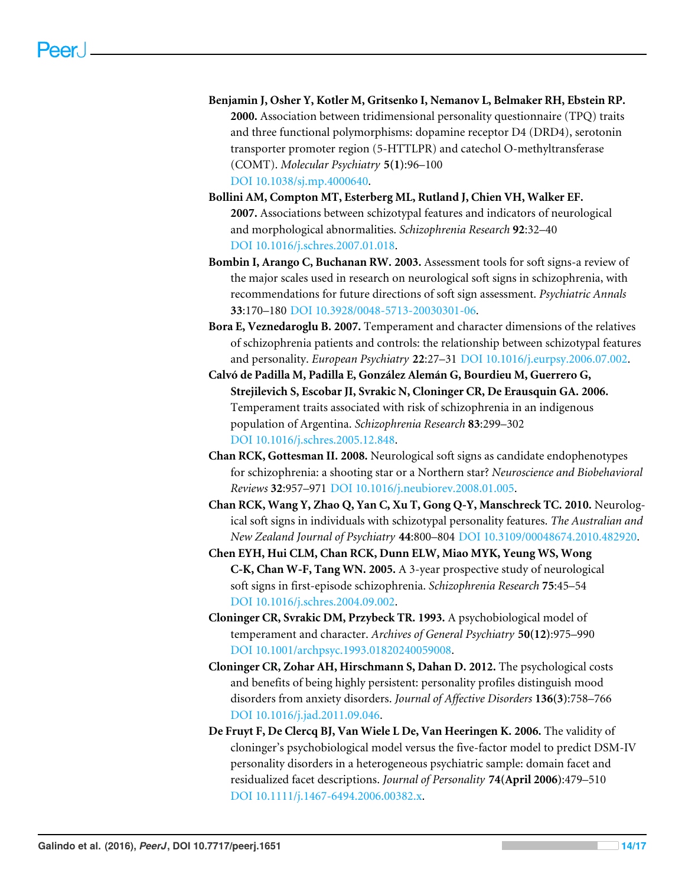- <span id="page-13-2"></span>**Benjamin J, Osher Y, Kotler M, Gritsenko I, Nemanov L, Belmaker RH, Ebstein RP. 2000.** Association between tridimensional personality questionnaire (TPQ) traits and three functional polymorphisms: dopamine receptor D4 (DRD4), serotonin transporter promoter region (5-HTTLPR) and catechol O-methyltransferase (COMT). *Molecular Psychiatry* **5(1)**:96–100 [DOI 10.1038/sj.mp.4000640.](http://dx.doi.org/10.1038/sj.mp.4000640)
- <span id="page-13-8"></span>**Bollini AM, Compton MT, Esterberg ML, Rutland J, Chien VH, Walker EF. 2007.** Associations between schizotypal features and indicators of neurological and morphological abnormalities. *Schizophrenia Research* **92**:32–40 [DOI 10.1016/j.schres.2007.01.018.](http://dx.doi.org/10.1016/j.schres.2007.01.018)
- <span id="page-13-5"></span>**Bombin I, Arango C, Buchanan RW. 2003.** Assessment tools for soft signs-a review of the major scales used in research on neurological soft signs in schizophrenia, with recommendations for future directions of soft sign assessment. *Psychiatric Annals* **33**:170–180 [DOI 10.3928/0048-5713-20030301-06.](http://dx.doi.org/10.3928/0048-5713-20030301-06)
- <span id="page-13-1"></span>**Bora E, Veznedaroglu B. 2007.** Temperament and character dimensions of the relatives of schizophrenia patients and controls: the relationship between schizotypal features and personality. *European Psychiatry* **22**:27–31 [DOI 10.1016/j.eurpsy.2006.07.002.](http://dx.doi.org/10.1016/j.eurpsy.2006.07.002)
- <span id="page-13-6"></span>**Calvó de Padilla M, Padilla E, González Alemán G, Bourdieu M, Guerrero G, Strejilevich S, Escobar JI, Svrakic N, Cloninger CR, De Erausquin GA. 2006.** Temperament traits associated with risk of schizophrenia in an indigenous population of Argentina. *Schizophrenia Research* **83**:299–302 [DOI 10.1016/j.schres.2005.12.848.](http://dx.doi.org/10.1016/j.schres.2005.12.848)
- <span id="page-13-3"></span>**Chan RCK, Gottesman II. 2008.** Neurological soft signs as candidate endophenotypes for schizophrenia: a shooting star or a Northern star? *Neuroscience and Biobehavioral Reviews* **32**:957–971 [DOI 10.1016/j.neubiorev.2008.01.005.](http://dx.doi.org/10.1016/j.neubiorev.2008.01.005)
- <span id="page-13-4"></span>**Chan RCK, Wang Y, Zhao Q, Yan C, Xu T, Gong Q-Y, Manschreck TC. 2010.** Neurological soft signs in individuals with schizotypal personality features. *The Australian and New Zealand Journal of Psychiatry* **44**:800–804 [DOI 10.3109/00048674.2010.482920.](http://dx.doi.org/10.3109/00048674.2010.482920)
- <span id="page-13-7"></span>**Chen EYH, Hui CLM, Chan RCK, Dunn ELW, Miao MYK, Yeung WS, Wong C-K, Chan W-F, Tang WN. 2005.** A 3-year prospective study of neurological soft signs in first-episode schizophrenia. *Schizophrenia Research* **75**:45–54 [DOI 10.1016/j.schres.2004.09.002.](http://dx.doi.org/10.1016/j.schres.2004.09.002)
- <span id="page-13-0"></span>**Cloninger CR, Svrakic DM, Przybeck TR. 1993.** A psychobiological model of temperament and character. *Archives of General Psychiatry* **50(12)**:975–990 [DOI 10.1001/archpsyc.1993.01820240059008.](http://dx.doi.org/10.1001/archpsyc.1993.01820240059008)
- <span id="page-13-9"></span>**Cloninger CR, Zohar AH, Hirschmann S, Dahan D. 2012.** The psychological costs and benefits of being highly persistent: personality profiles distinguish mood disorders from anxiety disorders. *Journal of Affective Disorders* **136(3)**:758–766 [DOI 10.1016/j.jad.2011.09.046.](http://dx.doi.org/10.1016/j.jad.2011.09.046)
- <span id="page-13-10"></span>**De Fruyt F, De Clercq BJ, Van Wiele L De, Van Heeringen K. 2006.** The validity of cloninger's psychobiological model versus the five-factor model to predict DSM-IV personality disorders in a heterogeneous psychiatric sample: domain facet and residualized facet descriptions. *Journal of Personality* **74(April 2006)**:479–510 [DOI 10.1111/j.1467-6494.2006.00382.x.](http://dx.doi.org/10.1111/j.1467-6494.2006.00382.x)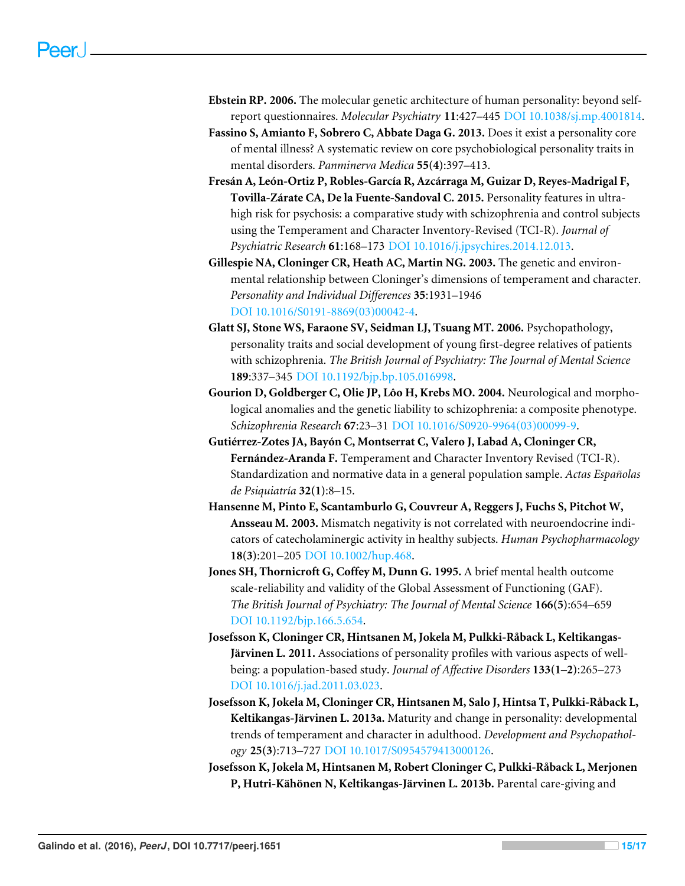- <span id="page-14-4"></span>**Ebstein RP. 2006.** The molecular genetic architecture of human personality: beyond selfreport questionnaires. *Molecular Psychiatry* **11**:427–445 [DOI 10.1038/sj.mp.4001814.](http://dx.doi.org/10.1038/sj.mp.4001814)
- <span id="page-14-9"></span>**Fassino S, Amianto F, Sobrero C, Abbate Daga G. 2013.** Does it exist a personality core of mental illness? A systematic review on core psychobiological personality traits in mental disorders. *Panminerva Medica* **55(4)**:397–413.
- <span id="page-14-10"></span>**Fresán A, León-Ortiz P, Robles-García R, Azcárraga M, Guizar D, Reyes-Madrigal F, Tovilla-Zárate CA, De la Fuente-Sandoval C. 2015.** Personality features in ultrahigh risk for psychosis: a comparative study with schizophrenia and control subjects using the Temperament and Character Inventory-Revised (TCI-R). *Journal of Psychiatric Research* **61**:168–173 [DOI 10.1016/j.jpsychires.2014.12.013.](http://dx.doi.org/10.1016/j.jpsychires.2014.12.013)
- <span id="page-14-0"></span>**Gillespie NA, Cloninger CR, Heath AC, Martin NG. 2003.** The genetic and environmental relationship between Cloninger's dimensions of temperament and character. *Personality and Individual Differences* **35**:1931–1946 [DOI 10.1016/S0191-8869\(03\)00042-4.](http://dx.doi.org/10.1016/S0191-8869(03)00042-4)
- <span id="page-14-3"></span>**Glatt SJ, Stone WS, Faraone SV, Seidman LJ, Tsuang MT. 2006.** Psychopathology, personality traits and social development of young first-degree relatives of patients with schizophrenia. *The British Journal of Psychiatry: The Journal of Mental Science* **189**:337–345 [DOI 10.1192/bjp.bp.105.016998.](http://dx.doi.org/10.1192/bjp.bp.105.016998)
- <span id="page-14-8"></span>**Gourion D, Goldberger C, Olie JP, Lôo H, Krebs MO. 2004.** Neurological and morphological anomalies and the genetic liability to schizophrenia: a composite phenotype. *Schizophrenia Research* **67**:23–31 [DOI 10.1016/S0920-9964\(03\)00099-9.](http://dx.doi.org/10.1016/S0920-9964(03)00099-9)
- <span id="page-14-6"></span>**Gutiérrez-Zotes JA, Bayón C, Montserrat C, Valero J, Labad A, Cloninger CR, Fernández-Aranda F.** Temperament and Character Inventory Revised (TCI-R). Standardization and normative data in a general population sample. *Actas Españolas de Psiquiatría* **32(1)**:8–15.
- <span id="page-14-7"></span>**Hansenne M, Pinto E, Scantamburlo G, Couvreur A, Reggers J, Fuchs S, Pitchot W, Ansseau M. 2003.** Mismatch negativity is not correlated with neuroendocrine indicators of catecholaminergic activity in healthy subjects. *Human Psychopharmacology* **18(3)**:201–205 [DOI 10.1002/hup.468.](http://dx.doi.org/10.1002/hup.468)
- <span id="page-14-5"></span>**Jones SH, Thornicroft G, Coffey M, Dunn G. 1995.** A brief mental health outcome scale-reliability and validity of the Global Assessment of Functioning (GAF). *The British Journal of Psychiatry: The Journal of Mental Science* **166(5)**:654–659 [DOI 10.1192/bjp.166.5.654.](http://dx.doi.org/10.1192/bjp.166.5.654)
- <span id="page-14-11"></span>**Josefsson K, Cloninger CR, Hintsanen M, Jokela M, Pulkki-Råback L, Keltikangas-Järvinen L. 2011.** Associations of personality profiles with various aspects of wellbeing: a population-based study. *Journal of Affective Disorders* **133(1–2)**:265–273 [DOI 10.1016/j.jad.2011.03.023.](http://dx.doi.org/10.1016/j.jad.2011.03.023)
- <span id="page-14-1"></span>**Josefsson K, Jokela M, Cloninger CR, Hintsanen M, Salo J, Hintsa T, Pulkki-Råback L, Keltikangas-Järvinen L. 2013a.** Maturity and change in personality: developmental trends of temperament and character in adulthood. *Development and Psychopathology* **25(3)**:713–727 [DOI 10.1017/S0954579413000126.](http://dx.doi.org/10.1017/S0954579413000126)
- <span id="page-14-2"></span>**Josefsson K, Jokela M, Hintsanen M, Robert Cloninger C, Pulkki-Råback L, Merjonen P, Hutri-Kähönen N, Keltikangas-Järvinen L. 2013b.** Parental care-giving and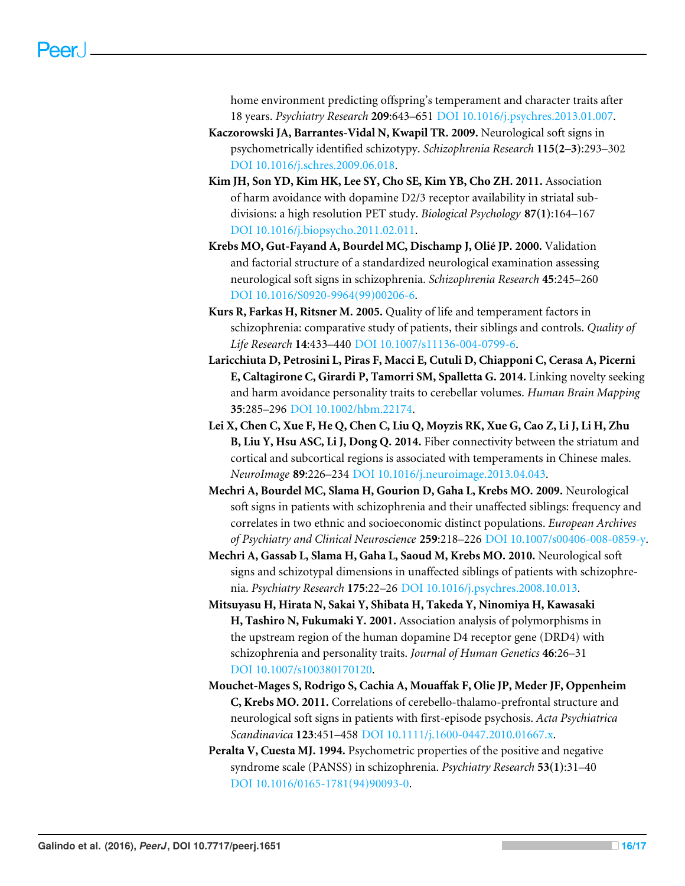home environment predicting offspring's temperament and character traits after 18 years. *Psychiatry Research* **209**:643–651 [DOI 10.1016/j.psychres.2013.01.007.](http://dx.doi.org/10.1016/j.psychres.2013.01.007)

- <span id="page-15-4"></span>**Kaczorowski JA, Barrantes-Vidal N, Kwapil TR. 2009.** Neurological soft signs in psychometrically identified schizotypy. *Schizophrenia Research* **115(2–3)**:293–302 [DOI 10.1016/j.schres.2009.06.018.](http://dx.doi.org/10.1016/j.schres.2009.06.018)
- <span id="page-15-8"></span>**Kim JH, Son YD, Kim HK, Lee SY, Cho SE, Kim YB, Cho ZH. 2011.** Association of harm avoidance with dopamine D2/3 receptor availability in striatal subdivisions: a high resolution PET study. *Biological Psychology* **87(1)**:164–167 [DOI 10.1016/j.biopsycho.2011.02.011.](http://dx.doi.org/10.1016/j.biopsycho.2011.02.011)
- <span id="page-15-6"></span>**Krebs MO, Gut-Fayand A, Bourdel MC, Dischamp J, Olié JP. 2000.** Validation and factorial structure of a standardized neurological examination assessing neurological soft signs in schizophrenia. *Schizophrenia Research* **45**:245–260 [DOI 10.1016/S0920-9964\(99\)00206-6.](http://dx.doi.org/10.1016/S0920-9964(99)00206-6)
- <span id="page-15-0"></span>**Kurs R, Farkas H, Ritsner M. 2005.** Quality of life and temperament factors in schizophrenia: comparative study of patients, their siblings and controls. *Quality of Life Research* **14**:433–440 [DOI 10.1007/s11136-004-0799-6.](http://dx.doi.org/10.1007/s11136-004-0799-6)
- <span id="page-15-9"></span>**Laricchiuta D, Petrosini L, Piras F, Macci E, Cutuli D, Chiapponi C, Cerasa A, Picerni E, Caltagirone C, Girardi P, Tamorri SM, Spalletta G. 2014.** Linking novelty seeking and harm avoidance personality traits to cerebellar volumes. *Human Brain Mapping* **35**:285–296 [DOI 10.1002/hbm.22174.](http://dx.doi.org/10.1002/hbm.22174)
- <span id="page-15-10"></span>**Lei X, Chen C, Xue F, He Q, Chen C, Liu Q, Moyzis RK, Xue G, Cao Z, Li J, Li H, Zhu B, Liu Y, Hsu ASC, Li J, Dong Q. 2014.** Fiber connectivity between the striatum and cortical and subcortical regions is associated with temperaments in Chinese males. *NeuroImage* **89**:226–234 [DOI 10.1016/j.neuroimage.2013.04.043.](http://dx.doi.org/10.1016/j.neuroimage.2013.04.043)
- <span id="page-15-2"></span>**Mechri A, Bourdel MC, Slama H, Gourion D, Gaha L, Krebs MO. 2009.** Neurological soft signs in patients with schizophrenia and their unaffected siblings: frequency and correlates in two ethnic and socioeconomic distinct populations. *European Archives of Psychiatry and Clinical Neuroscience* **259**:218–226 [DOI 10.1007/s00406-008-0859-y.](http://dx.doi.org/10.1007/s00406-008-0859-y)
- <span id="page-15-3"></span>**Mechri A, Gassab L, Slama H, Gaha L, Saoud M, Krebs MO. 2010.** Neurological soft signs and schizotypal dimensions in unaffected siblings of patients with schizophrenia. *Psychiatry Research* **175**:22–26 [DOI 10.1016/j.psychres.2008.10.013.](http://dx.doi.org/10.1016/j.psychres.2008.10.013)
- <span id="page-15-1"></span>**Mitsuyasu H, Hirata N, Sakai Y, Shibata H, Takeda Y, Ninomiya H, Kawasaki H, Tashiro N, Fukumaki Y. 2001.** Association analysis of polymorphisms in the upstream region of the human dopamine D4 receptor gene (DRD4) with schizophrenia and personality traits. *Journal of Human Genetics* **46**:26–31 [DOI 10.1007/s100380170120.](http://dx.doi.org/10.1007/s100380170120)
- <span id="page-15-5"></span>**Mouchet-Mages S, Rodrigo S, Cachia A, Mouaffak F, Olie JP, Meder JF, Oppenheim C, Krebs MO. 2011.** Correlations of cerebello-thalamo-prefrontal structure and neurological soft signs in patients with first-episode psychosis. *Acta Psychiatrica Scandinavica* **123**:451–458 [DOI 10.1111/j.1600-0447.2010.01667.x.](http://dx.doi.org/10.1111/j.1600-0447.2010.01667.x)
- <span id="page-15-7"></span>**Peralta V, Cuesta MJ. 1994.** Psychometric properties of the positive and negative syndrome scale (PANSS) in schizophrenia. *Psychiatry Research* **53(1)**:31–40 [DOI 10.1016/0165-1781\(94\)90093-0.](http://dx.doi.org/10.1016/0165-1781(94)90093-0)